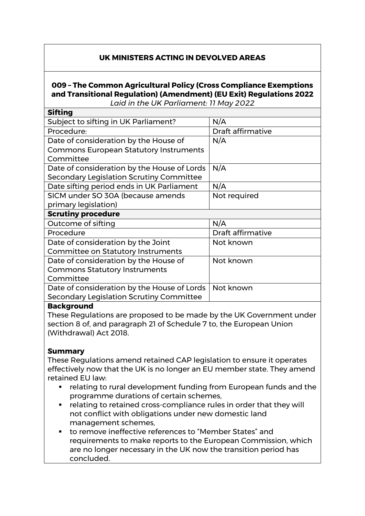## **UK MINISTERS ACTING IN DEVOLVED AREAS**

# **009 – The Common Agricultural Policy (Cross Compliance Exemptions and Transitional Regulation) (Amendment) (EU Exit) Regulations 2022**

*Laid in the UK Parliament: 11 May 2022*

| <b>Sifting</b>                                |                   |
|-----------------------------------------------|-------------------|
| Subject to sifting in UK Parliament?          | N/A               |
| Procedure:                                    | Draft affirmative |
| Date of consideration by the House of         | N/A               |
| <b>Commons European Statutory Instruments</b> |                   |
| Committee                                     |                   |
| Date of consideration by the House of Lords   | N/A               |
| Secondary Legislation Scrutiny Committee      |                   |
| Date sifting period ends in UK Parliament     | N/A               |
| SICM under SO 30A (because amends             | Not required      |
| primary legislation)                          |                   |
| <b>Scrutiny procedure</b>                     |                   |
| Outcome of sifting                            | N/A               |
| Procedure                                     | Draft affirmative |
| Date of consideration by the Joint            | Not known         |
| <b>Committee on Statutory Instruments</b>     |                   |
| Date of consideration by the House of         | Not known         |
| <b>Commons Statutory Instruments</b>          |                   |
| Committee                                     |                   |
| Date of consideration by the House of Lords   | Not known         |
| Secondary Legislation Scrutiny Committee      |                   |
|                                               |                   |

#### **Background**

These Regulations are proposed to be made by the UK Government under section 8 of, and paragraph 21 of Schedule 7 to, the European Union (Withdrawal) Act 2018.

#### **Summary**

These Regulations amend retained CAP legislation to ensure it operates effectively now that the UK is no longer an EU member state. They amend retained EU law:

- relating to rural development funding from European funds and the programme durations of certain schemes,
- **F** relating to retained cross-compliance rules in order that they will not conflict with obligations under new domestic land management schemes,
- to remove ineffective references to "Member States" and requirements to make reports to the European Commission, which are no longer necessary in the UK now the transition period has concluded.